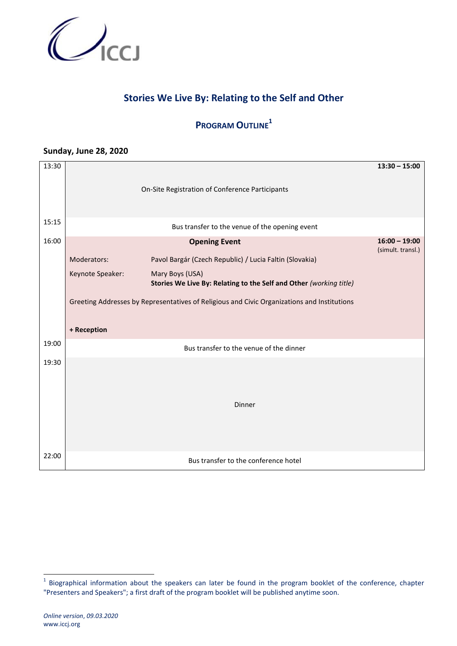

## **Stories We Live By: Relating to the Self and Other**

## **PROGRAM OUTLINE<sup>1</sup>**

#### **Sunday, June 28, 2020**

| 13:30 |                                                                                             |                                                                                       | $13:30 - 15:00$ |  |  |
|-------|---------------------------------------------------------------------------------------------|---------------------------------------------------------------------------------------|-----------------|--|--|
|       |                                                                                             | On-Site Registration of Conference Participants                                       |                 |  |  |
| 15:15 |                                                                                             | Bus transfer to the venue of the opening event                                        |                 |  |  |
| 16:00 |                                                                                             | $16:00 - 19:00$<br>(simult. transl.)                                                  |                 |  |  |
|       | Moderators:                                                                                 | Pavol Bargár (Czech Republic) / Lucia Faltin (Slovakia)                               |                 |  |  |
|       | Keynote Speaker:                                                                            | Mary Boys (USA)<br>Stories We Live By: Relating to the Self and Other (working title) |                 |  |  |
|       | Greeting Addresses by Representatives of Religious and Civic Organizations and Institutions |                                                                                       |                 |  |  |
|       | + Reception                                                                                 |                                                                                       |                 |  |  |
| 19:00 |                                                                                             | Bus transfer to the venue of the dinner                                               |                 |  |  |
| 19:30 |                                                                                             | Dinner                                                                                |                 |  |  |
| 22:00 |                                                                                             | Bus transfer to the conference hotel                                                  |                 |  |  |

**THE 1888**<br><sup>1</sup> Biographical information about the speakers can later be found in the program booklet of the conference, chapter "Presenters and Speakers"; a first draft of the program booklet will be published anytime soon.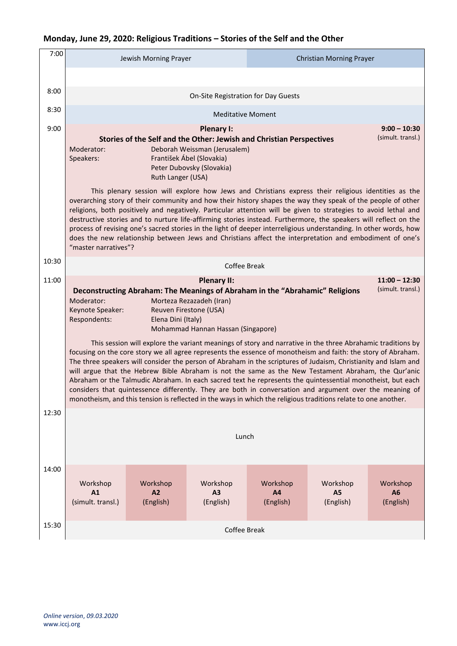### **Monday, June 29, 2020: Religious Traditions – Stories of the Self and the Other**

| 7:00  |                                                                                                                                                                                                                                                                                                                                                                                                                                                                                                                                                                                                                                                                                                                                                                                                  | Jewish Morning Prayer       |                             | <b>Christian Morning Prayer</b> |                                         |                                    |  |
|-------|--------------------------------------------------------------------------------------------------------------------------------------------------------------------------------------------------------------------------------------------------------------------------------------------------------------------------------------------------------------------------------------------------------------------------------------------------------------------------------------------------------------------------------------------------------------------------------------------------------------------------------------------------------------------------------------------------------------------------------------------------------------------------------------------------|-----------------------------|-----------------------------|---------------------------------|-----------------------------------------|------------------------------------|--|
|       |                                                                                                                                                                                                                                                                                                                                                                                                                                                                                                                                                                                                                                                                                                                                                                                                  |                             |                             |                                 |                                         |                                    |  |
| 8:00  | On-Site Registration for Day Guests                                                                                                                                                                                                                                                                                                                                                                                                                                                                                                                                                                                                                                                                                                                                                              |                             |                             |                                 |                                         |                                    |  |
| 8:30  | <b>Meditative Moment</b>                                                                                                                                                                                                                                                                                                                                                                                                                                                                                                                                                                                                                                                                                                                                                                         |                             |                             |                                 |                                         |                                    |  |
| 9:00  | $9:00 - 10:30$<br>Plenary I:<br>(simult. transl.)<br>Stories of the Self and the Other: Jewish and Christian Perspectives<br>Deborah Weissman (Jerusalem)<br>Moderator:<br>František Ábel (Slovakia)<br>Speakers:<br>Peter Dubovsky (Slovakia)<br>Ruth Langer (USA)<br>This plenary session will explore how Jews and Christians express their religious identities as the                                                                                                                                                                                                                                                                                                                                                                                                                       |                             |                             |                                 |                                         |                                    |  |
|       | overarching story of their community and how their history shapes the way they speak of the people of other<br>religions, both positively and negatively. Particular attention will be given to strategies to avoid lethal and<br>destructive stories and to nurture life-affirming stories instead. Furthermore, the speakers will reflect on the<br>process of revising one's sacred stories in the light of deeper interreligious understanding. In other words, how<br>does the new relationship between Jews and Christians affect the interpretation and embodiment of one's<br>"master narratives"?                                                                                                                                                                                       |                             |                             |                                 |                                         |                                    |  |
| 10:30 | Coffee Break                                                                                                                                                                                                                                                                                                                                                                                                                                                                                                                                                                                                                                                                                                                                                                                     |                             |                             |                                 |                                         |                                    |  |
| 11:00 | $11:00 - 12:30$<br><b>Plenary II:</b><br>(simult. transl.)<br>Deconstructing Abraham: The Meanings of Abraham in the "Abrahamic" Religions<br>Moderator:<br>Morteza Rezazadeh (Iran)<br>Keynote Speaker:<br>Reuven Firestone (USA)<br>Respondents:<br>Elena Dini (Italy)<br>Mohammad Hannan Hassan (Singapore)                                                                                                                                                                                                                                                                                                                                                                                                                                                                                   |                             |                             |                                 |                                         |                                    |  |
|       | This session will explore the variant meanings of story and narrative in the three Abrahamic traditions by<br>focusing on the core story we all agree represents the essence of monotheism and faith: the story of Abraham.<br>The three speakers will consider the person of Abraham in the scriptures of Judaism, Christianity and Islam and<br>will argue that the Hebrew Bible Abraham is not the same as the New Testament Abraham, the Qur'anic<br>Abraham or the Talmudic Abraham. In each sacred text he represents the quintessential monotheist, but each<br>considers that quintessence differently. They are both in conversation and argument over the meaning of<br>monotheism, and this tension is reflected in the ways in which the religious traditions relate to one another. |                             |                             |                                 |                                         |                                    |  |
| 12:30 | Lunch                                                                                                                                                                                                                                                                                                                                                                                                                                                                                                                                                                                                                                                                                                                                                                                            |                             |                             |                                 |                                         |                                    |  |
| 14:00 | Workshop<br>A1<br>(simult. transl.)                                                                                                                                                                                                                                                                                                                                                                                                                                                                                                                                                                                                                                                                                                                                                              | Workshop<br>A2<br>(English) | Workshop<br>A3<br>(English) | Workshop<br>A4<br>(English)     | Workshop<br>A <sub>5</sub><br>(English) | Workshop<br><b>A6</b><br>(English) |  |
| 15:30 | Coffee Break                                                                                                                                                                                                                                                                                                                                                                                                                                                                                                                                                                                                                                                                                                                                                                                     |                             |                             |                                 |                                         |                                    |  |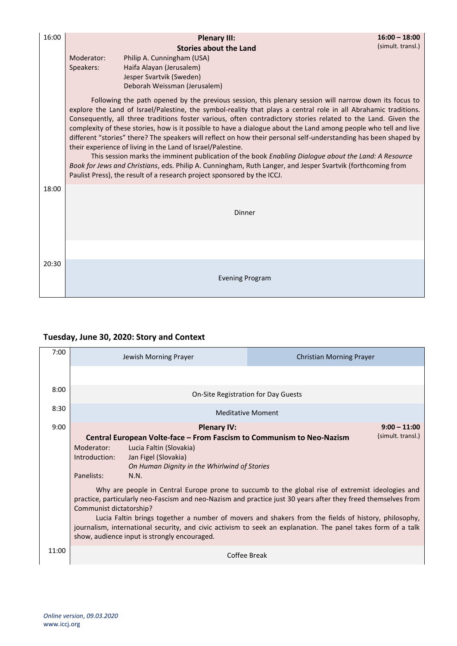| 16:00 | Moderator:<br>Speakers:                                                                                                                                                                                                                                                                                                                                                                                                                                                                                                                                                                                                                                                                                                                                                                                                                                                                                                                            | <b>Plenary III:</b><br><b>Stories about the Land</b><br>Philip A. Cunningham (USA)<br>Haifa Alayan (Jerusalem)<br>Jesper Svartvik (Sweden)<br>Deborah Weissman (Jerusalem) | $16:00 - 18:00$<br>(simult. transl.) |  |
|-------|----------------------------------------------------------------------------------------------------------------------------------------------------------------------------------------------------------------------------------------------------------------------------------------------------------------------------------------------------------------------------------------------------------------------------------------------------------------------------------------------------------------------------------------------------------------------------------------------------------------------------------------------------------------------------------------------------------------------------------------------------------------------------------------------------------------------------------------------------------------------------------------------------------------------------------------------------|----------------------------------------------------------------------------------------------------------------------------------------------------------------------------|--------------------------------------|--|
|       | Following the path opened by the previous session, this plenary session will narrow down its focus to<br>explore the Land of Israel/Palestine, the symbol-reality that plays a central role in all Abrahamic traditions.<br>Consequently, all three traditions foster various, often contradictory stories related to the Land. Given the<br>complexity of these stories, how is it possible to have a dialogue about the Land among people who tell and live<br>different "stories" there? The speakers will reflect on how their personal self-understanding has been shaped by<br>their experience of living in the Land of Israel/Palestine.<br>This session marks the imminent publication of the book Enabling Dialogue about the Land: A Resource<br>Book for Jews and Christians, eds. Philip A. Cunningham, Ruth Langer, and Jesper Svartvik (forthcoming from<br>Paulist Press), the result of a research project sponsored by the ICCJ. |                                                                                                                                                                            |                                      |  |
| 18:00 |                                                                                                                                                                                                                                                                                                                                                                                                                                                                                                                                                                                                                                                                                                                                                                                                                                                                                                                                                    | Dinner                                                                                                                                                                     |                                      |  |
|       |                                                                                                                                                                                                                                                                                                                                                                                                                                                                                                                                                                                                                                                                                                                                                                                                                                                                                                                                                    |                                                                                                                                                                            |                                      |  |
| 20:30 |                                                                                                                                                                                                                                                                                                                                                                                                                                                                                                                                                                                                                                                                                                                                                                                                                                                                                                                                                    | <b>Evening Program</b>                                                                                                                                                     |                                      |  |

# **Tuesday, June 30, 2020: Story and Context**

| 7:00  | Jewish Morning Prayer                                                                                                                                                                                                                                                                                                                                                                                                                                                                                                                                            |  | <b>Christian Morning Prayer</b>                                                                                                                                                                         |                                     |  |
|-------|------------------------------------------------------------------------------------------------------------------------------------------------------------------------------------------------------------------------------------------------------------------------------------------------------------------------------------------------------------------------------------------------------------------------------------------------------------------------------------------------------------------------------------------------------------------|--|---------------------------------------------------------------------------------------------------------------------------------------------------------------------------------------------------------|-------------------------------------|--|
|       |                                                                                                                                                                                                                                                                                                                                                                                                                                                                                                                                                                  |  |                                                                                                                                                                                                         |                                     |  |
| 8:00  |                                                                                                                                                                                                                                                                                                                                                                                                                                                                                                                                                                  |  | On-Site Registration for Day Guests                                                                                                                                                                     |                                     |  |
| 8:30  | <b>Meditative Moment</b>                                                                                                                                                                                                                                                                                                                                                                                                                                                                                                                                         |  |                                                                                                                                                                                                         |                                     |  |
| 9:00  | <b>Plenary IV:</b><br>Central European Volte-face – From Fascism to Communism to Neo-Nazism<br>Moderator:<br>Lucia Faltin (Slovakia)<br>Jan Figel (Slovakia)<br>Introduction:<br>On Human Dignity in the Whirlwind of Stories<br>Panelists:<br>N.N.<br>practice, particularly neo-Fascism and neo-Nazism and practice just 30 years after they freed themselves from<br>Communist dictatorship?<br>journalism, international security, and civic activism to seek an explanation. The panel takes form of a talk<br>show, audience input is strongly encouraged. |  | Why are people in Central Europe prone to succumb to the global rise of extremist ideologies and<br>Lucia Faltin brings together a number of movers and shakers from the fields of history, philosophy, | $9:00 - 11:00$<br>(simult. transl.) |  |
| 11:00 |                                                                                                                                                                                                                                                                                                                                                                                                                                                                                                                                                                  |  | Coffee Break                                                                                                                                                                                            |                                     |  |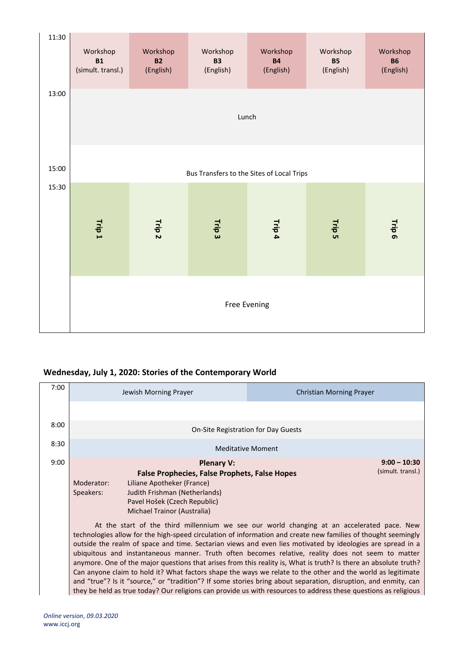

### **Wednesday, July 1, 2020: Stories of the Contemporary World**